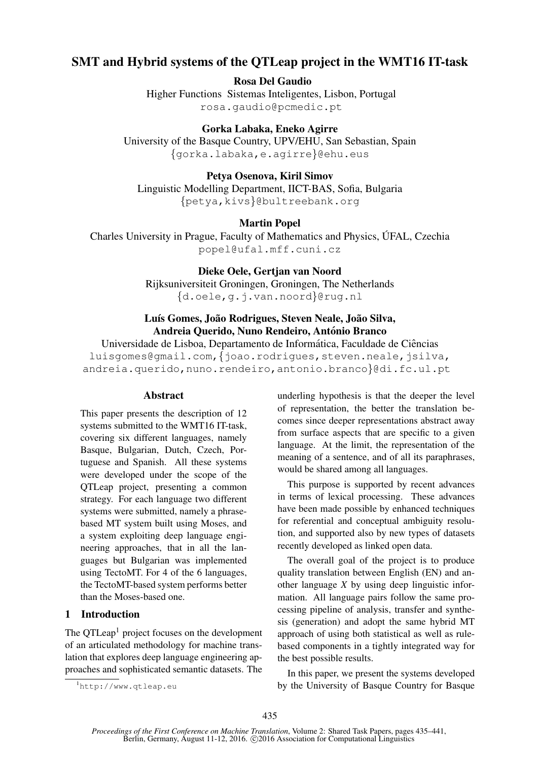# SMT and Hybrid systems of the QTLeap project in the WMT16 IT-task

Rosa Del Gaudio

Higher Functions Sistemas Inteligentes, Lisbon, Portugal rosa.gaudio@pcmedic.pt

Gorka Labaka, Eneko Agirre University of the Basque Country, UPV/EHU, San Sebastian, Spain {gorka.labaka,e.agirre}@ehu.eus

Petya Osenova, Kiril Simov Linguistic Modelling Department, IICT-BAS, Sofia, Bulgaria {petya,kivs}@bultreebank.org

Martin Popel

Charles University in Prague, Faculty of Mathematics and Physics, UFAL, Czechia ´ popel@ufal.mff.cuni.cz

> Dieke Oele, Gertjan van Noord Rijksuniversiteit Groningen, Groningen, The Netherlands {d.oele,g.j.van.noord}@rug.nl

# Luís Gomes, João Rodrigues, Steven Neale, João Silva, Andreia Querido, Nuno Rendeiro, António Branco

Universidade de Lisboa, Departamento de Informática, Faculdade de Ciências luisgomes@gmail.com, {joao.rodrigues, steven.neale, jsilva, andreia.querido,nuno.rendeiro,antonio.branco}@di.fc.ul.pt

### **Abstract**

This paper presents the description of 12 systems submitted to the WMT16 IT-task, covering six different languages, namely Basque, Bulgarian, Dutch, Czech, Portuguese and Spanish. All these systems were developed under the scope of the QTLeap project, presenting a common strategy. For each language two different systems were submitted, namely a phrasebased MT system built using Moses, and a system exploiting deep language engineering approaches, that in all the languages but Bulgarian was implemented using TectoMT. For 4 of the 6 languages, the TectoMT-based system performs better than the Moses-based one.

# 1 Introduction

The OTLeap<sup>1</sup> project focuses on the development of an articulated methodology for machine translation that explores deep language engineering approaches and sophisticated semantic datasets. The underling hypothesis is that the deeper the level of representation, the better the translation becomes since deeper representations abstract away from surface aspects that are specific to a given language. At the limit, the representation of the meaning of a sentence, and of all its paraphrases, would be shared among all languages.

This purpose is supported by recent advances in terms of lexical processing. These advances have been made possible by enhanced techniques for referential and conceptual ambiguity resolution, and supported also by new types of datasets recently developed as linked open data.

The overall goal of the project is to produce quality translation between English (EN) and another language *X* by using deep linguistic information. All language pairs follow the same processing pipeline of analysis, transfer and synthesis (generation) and adopt the same hybrid MT approach of using both statistical as well as rulebased components in a tightly integrated way for the best possible results.

In this paper, we present the systems developed by the University of Basque Country for Basque

<sup>1</sup>http://www.qtleap.eu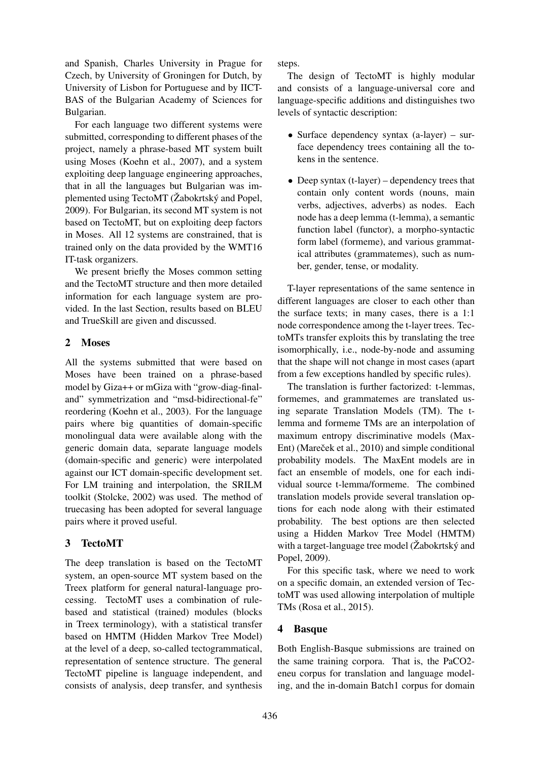and Spanish, Charles University in Prague for Czech, by University of Groningen for Dutch, by University of Lisbon for Portuguese and by IICT-BAS of the Bulgarian Academy of Sciences for Bulgarian.

For each language two different systems were submitted, corresponding to different phases of the project, namely a phrase-based MT system built using Moses (Koehn et al., 2007), and a system exploiting deep language engineering approaches, that in all the languages but Bulgarian was implemented using TectoMT ( $\check{Z}$ abokrtský and Popel, 2009). For Bulgarian, its second MT system is not based on TectoMT, but on exploiting deep factors in Moses. All 12 systems are constrained, that is trained only on the data provided by the WMT16 IT-task organizers.

We present briefly the Moses common setting and the TectoMT structure and then more detailed information for each language system are provided. In the last Section, results based on BLEU and TrueSkill are given and discussed.

### 2 Moses

All the systems submitted that were based on Moses have been trained on a phrase-based model by Giza++ or mGiza with "grow-diag-finaland" symmetrization and "msd-bidirectional-fe" reordering (Koehn et al., 2003). For the language pairs where big quantities of domain-specific monolingual data were available along with the generic domain data, separate language models (domain-specific and generic) were interpolated against our ICT domain-specific development set. For LM training and interpolation, the SRILM toolkit (Stolcke, 2002) was used. The method of truecasing has been adopted for several language pairs where it proved useful.

# 3 TectoMT

The deep translation is based on the TectoMT system, an open-source MT system based on the Treex platform for general natural-language processing. TectoMT uses a combination of rulebased and statistical (trained) modules (blocks in Treex terminology), with a statistical transfer based on HMTM (Hidden Markov Tree Model) at the level of a deep, so-called tectogrammatical, representation of sentence structure. The general TectoMT pipeline is language independent, and consists of analysis, deep transfer, and synthesis

steps.

The design of TectoMT is highly modular and consists of a language-universal core and language-specific additions and distinguishes two levels of syntactic description:

- Surface dependency syntax (a-layer) surface dependency trees containing all the tokens in the sentence.
- Deep syntax (t-layer) dependency trees that contain only content words (nouns, main verbs, adjectives, adverbs) as nodes. Each node has a deep lemma (t-lemma), a semantic function label (functor), a morpho-syntactic form label (formeme), and various grammatical attributes (grammatemes), such as number, gender, tense, or modality.

T-layer representations of the same sentence in different languages are closer to each other than the surface texts; in many cases, there is a 1:1 node correspondence among the t-layer trees. TectoMTs transfer exploits this by translating the tree isomorphically, i.e., node-by-node and assuming that the shape will not change in most cases (apart from a few exceptions handled by specific rules).

The translation is further factorized: t-lemmas, formemes, and grammatemes are translated using separate Translation Models (TM). The tlemma and formeme TMs are an interpolation of maximum entropy discriminative models (Max-Ent) (Mareček et al., 2010) and simple conditional probability models. The MaxEnt models are in fact an ensemble of models, one for each individual source t-lemma/formeme. The combined translation models provide several translation options for each node along with their estimated probability. The best options are then selected using a Hidden Markov Tree Model (HMTM) with a target-language tree model (Žabokrtský and Popel, 2009).

For this specific task, where we need to work on a specific domain, an extended version of TectoMT was used allowing interpolation of multiple TMs (Rosa et al., 2015).

# 4 Basque

Both English-Basque submissions are trained on the same training corpora. That is, the PaCO2 eneu corpus for translation and language modeling, and the in-domain Batch1 corpus for domain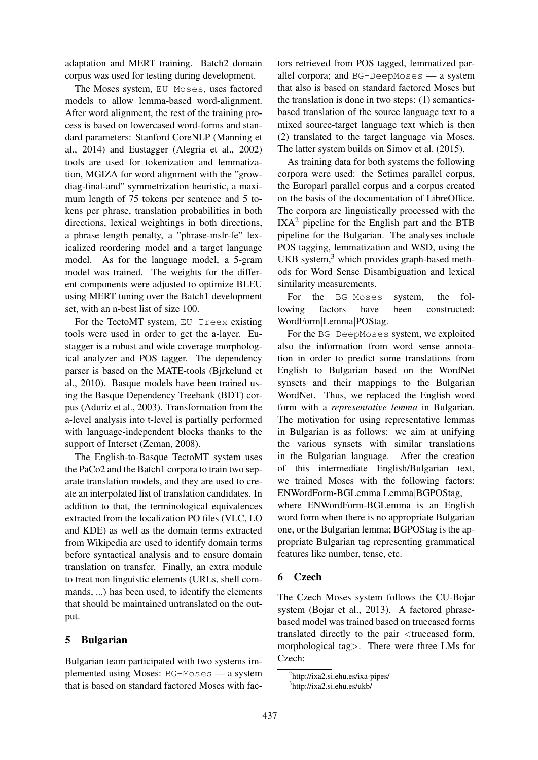adaptation and MERT training. Batch2 domain corpus was used for testing during development.

The Moses system, EU-Moses, uses factored models to allow lemma-based word-alignment. After word alignment, the rest of the training process is based on lowercased word-forms and standard parameters: Stanford CoreNLP (Manning et al., 2014) and Eustagger (Alegria et al., 2002) tools are used for tokenization and lemmatization, MGIZA for word alignment with the "growdiag-final-and" symmetrization heuristic, a maximum length of 75 tokens per sentence and 5 tokens per phrase, translation probabilities in both directions, lexical weightings in both directions, a phrase length penalty, a "phrase-mslr-fe" lexicalized reordering model and a target language model. As for the language model, a 5-gram model was trained. The weights for the different components were adjusted to optimize BLEU using MERT tuning over the Batch1 development set, with an n-best list of size 100.

For the TectoMT system, EU-Treex existing tools were used in order to get the a-layer. Eustagger is a robust and wide coverage morphological analyzer and POS tagger. The dependency parser is based on the MATE-tools (Bjrkelund et al., 2010). Basque models have been trained using the Basque Dependency Treebank (BDT) corpus (Aduriz et al., 2003). Transformation from the a-level analysis into t-level is partially performed with language-independent blocks thanks to the support of Interset (Zeman, 2008).

The English-to-Basque TectoMT system uses the PaCo2 and the Batch1 corpora to train two separate translation models, and they are used to create an interpolated list of translation candidates. In addition to that, the terminological equivalences extracted from the localization PO files (VLC, LO and KDE) as well as the domain terms extracted from Wikipedia are used to identify domain terms before syntactical analysis and to ensure domain translation on transfer. Finally, an extra module to treat non linguistic elements (URLs, shell commands, ...) has been used, to identify the elements that should be maintained untranslated on the output.

### 5 Bulgarian

Bulgarian team participated with two systems implemented using Moses: BG-Moses — a system that is based on standard factored Moses with factors retrieved from POS tagged, lemmatized parallel corpora; and BG-DeepMoses — a system that also is based on standard factored Moses but the translation is done in two steps: (1) semanticsbased translation of the source language text to a mixed source-target language text which is then (2) translated to the target language via Moses. The latter system builds on Simov et al. (2015).

As training data for both systems the following corpora were used: the Setimes parallel corpus, the Europarl parallel corpus and a corpus created on the basis of the documentation of LibreOffice. The corpora are linguistically processed with the  $IXA<sup>2</sup>$  pipeline for the English part and the BTB pipeline for the Bulgarian. The analyses include POS tagging, lemmatization and WSD, using the UKB system,<sup>3</sup> which provides graph-based methods for Word Sense Disambiguation and lexical similarity measurements.

For the BG-Moses system, the following factors have been constructed: WordForm|Lemma|POStag.

For the BG-DeepMoses system, we exploited also the information from word sense annotation in order to predict some translations from English to Bulgarian based on the WordNet synsets and their mappings to the Bulgarian WordNet. Thus, we replaced the English word form with a *representative lemma* in Bulgarian. The motivation for using representative lemmas in Bulgarian is as follows: we aim at unifying the various synsets with similar translations in the Bulgarian language. After the creation of this intermediate English/Bulgarian text, we trained Moses with the following factors: ENWordForm-BGLemma|Lemma|BGPOStag,

where ENWordForm-BGLemma is an English word form when there is no appropriate Bulgarian one, or the Bulgarian lemma; BGPOStag is the appropriate Bulgarian tag representing grammatical features like number, tense, etc.

### 6 Czech

The Czech Moses system follows the CU-Bojar system (Bojar et al., 2013). A factored phrasebased model was trained based on truecased forms translated directly to the pair <truecased form, morphological tag>. There were three LMs for Czech:

<sup>2</sup> http://ixa2.si.ehu.es/ixa-pipes/

<sup>3</sup> http://ixa2.si.ehu.es/ukb/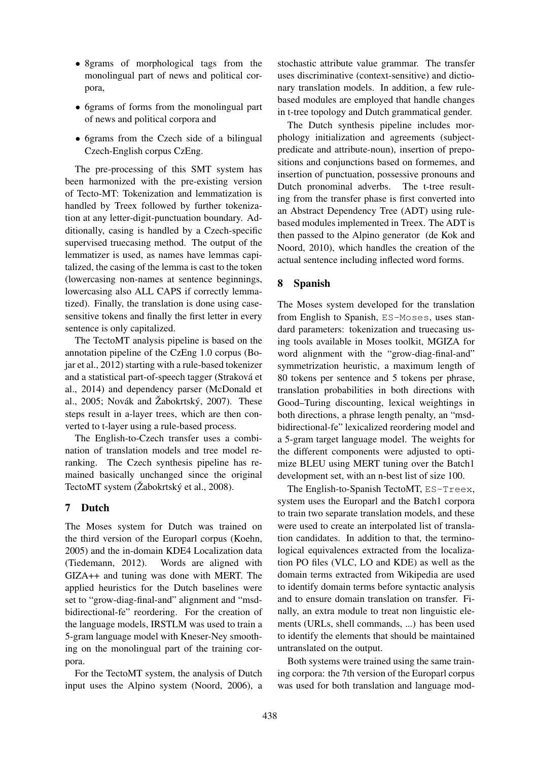- 8grams of morphological tags from the monolingual part of news and political corpora,
- 6grams of forms from the monolingual part of news and political corpora and
- 6grams from the Czech side of a bilingual Czech-English corpus CzEng.

The pre-processing of this SMT system has been harmonized with the pre-existing version of Tecto-MT: Tokenization and lemmatization is handled by Treex followed by further tokenization at any letter-digit-punctuation boundary. Additionally, casing is handled by a Czech-specific supervised truecasing method. The output of the lemmatizer is used, as names have lemmas capitalized, the casing of the lemma is cast to the token (lowercasing non-names at sentence beginnings, lowercasing also ALL CAPS if correctly lemmatized). Finally, the translation is done using casesensitive tokens and finally the first letter in every sentence is only capitalized.

The TectoMT analysis pipeline is based on the annotation pipeline of the CzEng 1.0 corpus (Bojar et al., 2012) starting with a rule-based tokenizer and a statistical part-of-speech tagger (Strakova et ´ al., 2014) and dependency parser (McDonald et al., 2005; Novák and Žabokrtský, 2007). These steps result in a-layer trees, which are then converted to t-layer using a rule-based process.

The English-to-Czech transfer uses a combination of translation models and tree model reranking. The Czech synthesis pipeline has remained basically unchanged since the original TectoMT system (Žabokrtský et al., 2008).

# 7 Dutch

The Moses system for Dutch was trained on the third version of the Europarl corpus (Koehn, 2005) and the in-domain KDE4 Localization data (Tiedemann, 2012). Words are aligned with GIZA++ and tuning was done with MERT. The applied heuristics for the Dutch baselines were set to "grow-diag-final-and" alignment and "msdbidirectional-fe" reordering. For the creation of the language models, IRSTLM was used to train a 5-gram language model with Kneser-Ney smoothing on the monolingual part of the training corpora.

For the TectoMT system, the analysis of Dutch input uses the Alpino system (Noord, 2006), a

stochastic attribute value grammar. The transfer uses discriminative (context-sensitive) and dictionary translation models. In addition, a few rulebased modules are employed that handle changes in t-tree topology and Dutch grammatical gender.

The Dutch synthesis pipeline includes morphology initialization and agreements (subjectpredicate and attribute-noun), insertion of prepositions and conjunctions based on formemes, and insertion of punctuation, possessive pronouns and Dutch pronominal adverbs. The t-tree resulting from the transfer phase is first converted into an Abstract Dependency Tree (ADT) using rulebased modules implemented in Treex. The ADT is then passed to the Alpino generator (de Kok and Noord, 2010), which handles the creation of the actual sentence including inflected word forms.

# 8 Spanish

The Moses system developed for the translation from English to Spanish, ES-Moses, uses standard parameters: tokenization and truecasing using tools available in Moses toolkit, MGIZA for word alignment with the "grow-diag-final-and" symmetrization heuristic, a maximum length of 80 tokens per sentence and 5 tokens per phrase, translation probabilities in both directions with Good–Turing discounting, lexical weightings in both directions, a phrase length penalty, an "msdbidirectional-fe" lexicalized reordering model and a 5-gram target language model. The weights for the different components were adjusted to optimize BLEU using MERT tuning over the Batch1 development set, with an n-best list of size 100.

The English-to-Spanish TectoMT, ES-Treex, system uses the Europarl and the Batch1 corpora to train two separate translation models, and these were used to create an interpolated list of translation candidates. In addition to that, the terminological equivalences extracted from the localization PO files (VLC, LO and KDE) as well as the domain terms extracted from Wikipedia are used to identify domain terms before syntactic analysis and to ensure domain translation on transfer. Finally, an extra module to treat non linguistic elements (URLs, shell commands, ...) has been used to identify the elements that should be maintained untranslated on the output.

Both systems were trained using the same training corpora: the 7th version of the Europarl corpus was used for both translation and language mod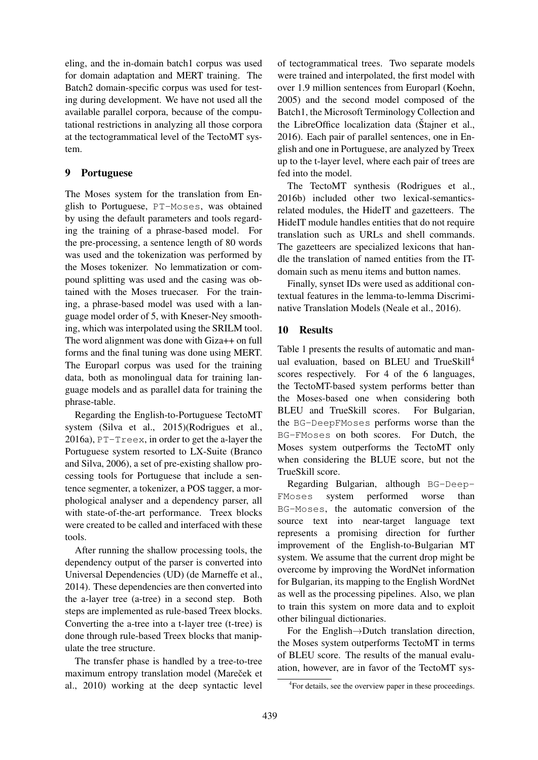eling, and the in-domain batch1 corpus was used for domain adaptation and MERT training. The Batch2 domain-specific corpus was used for testing during development. We have not used all the available parallel corpora, because of the computational restrictions in analyzing all those corpora at the tectogrammatical level of the TectoMT system.

### 9 Portuguese

The Moses system for the translation from English to Portuguese, PT-Moses, was obtained by using the default parameters and tools regarding the training of a phrase-based model. For the pre-processing, a sentence length of 80 words was used and the tokenization was performed by the Moses tokenizer. No lemmatization or compound splitting was used and the casing was obtained with the Moses truecaser. For the training, a phrase-based model was used with a language model order of 5, with Kneser-Ney smoothing, which was interpolated using the SRILM tool. The word alignment was done with Giza++ on full forms and the final tuning was done using MERT. The Europarl corpus was used for the training data, both as monolingual data for training language models and as parallel data for training the phrase-table.

Regarding the English-to-Portuguese TectoMT system (Silva et al., 2015)(Rodrigues et al., 2016a), PT-Treex, in order to get the a-layer the Portuguese system resorted to LX-Suite (Branco and Silva, 2006), a set of pre-existing shallow processing tools for Portuguese that include a sentence segmenter, a tokenizer, a POS tagger, a morphological analyser and a dependency parser, all with state-of-the-art performance. Treex blocks were created to be called and interfaced with these tools.

After running the shallow processing tools, the dependency output of the parser is converted into Universal Dependencies (UD) (de Marneffe et al., 2014). These dependencies are then converted into the a-layer tree (a-tree) in a second step. Both steps are implemented as rule-based Treex blocks. Converting the a-tree into a t-layer tree (t-tree) is done through rule-based Treex blocks that manipulate the tree structure.

The transfer phase is handled by a tree-to-tree maximum entropy translation model (Mareček et al., 2010) working at the deep syntactic level

of tectogrammatical trees. Two separate models were trained and interpolated, the first model with over 1.9 million sentences from Europarl (Koehn, 2005) and the second model composed of the Batch1, the Microsoft Terminology Collection and the LibreOffice localization data ( $\check{S}$ tajner et al., 2016). Each pair of parallel sentences, one in English and one in Portuguese, are analyzed by Treex up to the t-layer level, where each pair of trees are fed into the model.

The TectoMT synthesis (Rodrigues et al., 2016b) included other two lexical-semanticsrelated modules, the HideIT and gazetteers. The HideIT module handles entities that do not require translation such as URLs and shell commands. The gazetteers are specialized lexicons that handle the translation of named entities from the ITdomain such as menu items and button names.

Finally, synset IDs were used as additional contextual features in the lemma-to-lemma Discriminative Translation Models (Neale et al., 2016).

### 10 Results

Table 1 presents the results of automatic and manual evaluation, based on BLEU and TrueSkill<sup>4</sup> scores respectively. For 4 of the 6 languages, the TectoMT-based system performs better than the Moses-based one when considering both BLEU and TrueSkill scores. For Bulgarian, the BG-DeepFMoses performs worse than the BG-FMoses on both scores. For Dutch, the Moses system outperforms the TectoMT only when considering the BLUE score, but not the TrueSkill score.

Regarding Bulgarian, although BG-Deep-FMoses system performed worse than BG-Moses, the automatic conversion of the source text into near-target language text represents a promising direction for further improvement of the English-to-Bulgarian MT system. We assume that the current drop might be overcome by improving the WordNet information for Bulgarian, its mapping to the English WordNet as well as the processing pipelines. Also, we plan to train this system on more data and to exploit other bilingual dictionaries.

For the English→Dutch translation direction, the Moses system outperforms TectoMT in terms of BLEU score. The results of the manual evaluation, however, are in favor of the TectoMT sys-

<sup>4</sup> For details, see the overview paper in these proceedings.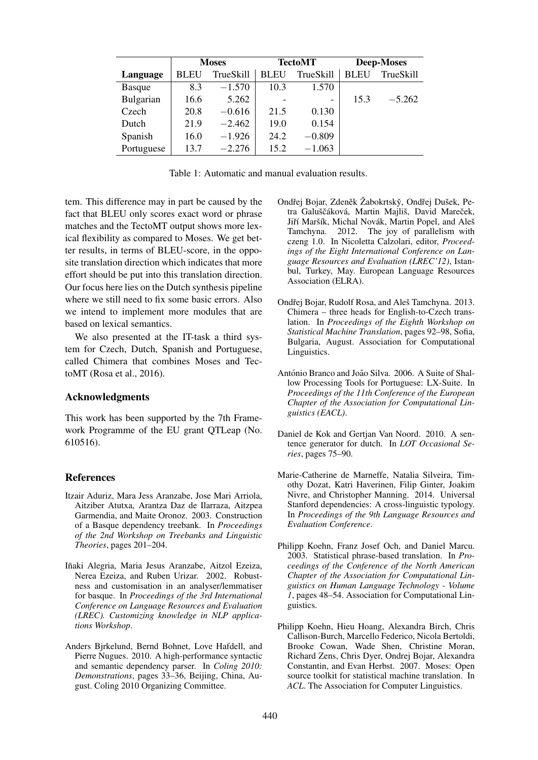|               | <b>Moses</b> |           | <b>TectoMT</b> |           | <b>Deep-Moses</b> |           |
|---------------|--------------|-----------|----------------|-----------|-------------------|-----------|
| Language      | <b>BLEU</b>  | TrueSkill | <b>BLEU</b>    | TrueSkill | <b>BLEU</b>       | TrueSkill |
| <b>Basque</b> | 8.3          | $-1.570$  | 10.3           | 1.570     |                   |           |
| Bulgarian     | 16.6         | 5.262     |                | -         | 15.3              | $-5.262$  |
| Czech         | 20.8         | $-0.616$  | 21.5           | 0.130     |                   |           |
| Dutch         | 21.9         | $-2.462$  | 19.0           | 0.154     |                   |           |
| Spanish       | 16.0         | $-1.926$  | 24.2           | $-0.809$  |                   |           |
| Portuguese    | 13.7         | $-2.276$  | 15.2           | $-1.063$  |                   |           |

| Table 1: Automatic and manual evaluation results. |
|---------------------------------------------------|
|---------------------------------------------------|

tem. This difference may in part be caused by the fact that BLEU only scores exact word or phrase matches and the TectoMT output shows more lexical flexibility as compared to Moses. We get better results, in terms of BLEU-score, in the opposite translation direction which indicates that more effort should be put into this translation direction. Our focus here lies on the Dutch synthesis pipeline where we still need to fix some basic errors. Also we intend to implement more modules that are based on lexical semantics.

We also presented at the IT-task a third system for Czech, Dutch, Spanish and Portuguese, called Chimera that combines Moses and TectoMT (Rosa et al., 2016).

#### Acknowledgments

This work has been supported by the 7th Framework Programme of the EU grant QTLeap (No. 610516).

#### References

- Itzair Aduriz, Mara Jess Aranzabe, Jose Mari Arriola, Aitziber Atutxa, Arantza Daz de Ilarraza, Aitzpea Garmendia, and Maite Oronoz. 2003. Construction of a Basque dependency treebank. In *Proceedings of the 2nd Workshop on Treebanks and Linguistic Theories*, pages 201–204.
- Iñaki Alegria, Maria Jesus Aranzabe, Aitzol Ezeiza, Nerea Ezeiza, and Ruben Urizar. 2002. Robustness and customisation in an analyser/lemmatiser for basque. In *Proceedings of the 3rd International Conference on Language Resources and Evaluation (LREC). Customizing knowledge in NLP applications Workshop*.
- Anders Bjrkelund, Bernd Bohnet, Love Hafdell, and Pierre Nugues. 2010. A high-performance syntactic and semantic dependency parser. In *Coling 2010: Demonstrations*, pages 33–36, Beijing, China, August. Coling 2010 Organizing Committee.
- Ondřej Bojar, Zdeněk Žabokrtský, Ondřej Dušek, Petra Galuščáková, Martin Majliš, David Mareček, Jiří Maršík, Michal Novák, Martin Popel, and Aleš Tamchyna. 2012. The joy of parallelism with czeng 1.0. In Nicoletta Calzolari, editor, *Proceedings of the Eight International Conference on Language Resources and Evaluation (LREC'12)*, Istanbul, Turkey, May. European Language Resources Association (ELRA).
- Ondřej Bojar, Rudolf Rosa, and Aleš Tamchyna. 2013. Chimera – three heads for English-to-Czech translation. In *Proceedings of the Eighth Workshop on Statistical Machine Translation*, pages 92–98, Sofia, Bulgaria, August. Association for Computational Linguistics.
- António Branco and João Silva. 2006. A Suite of Shallow Processing Tools for Portuguese: LX-Suite. In *Proceedings of the 11th Conference of the European Chapter of the Association for Computational Linguistics (EACL)*.
- Daniel de Kok and Gertjan Van Noord. 2010. A sentence generator for dutch. In *LOT Occasional Series*, pages 75–90.
- Marie-Catherine de Marneffe, Natalia Silveira, Timothy Dozat, Katri Haverinen, Filip Ginter, Joakim Nivre, and Christopher Manning. 2014. Universal Stanford dependencies: A cross-linguistic typology. In *Proceedings of the 9th Language Resources and Evaluation Conference*.
- Philipp Koehn, Franz Josef Och, and Daniel Marcu. 2003. Statistical phrase-based translation. In *Proceedings of the Conference of the North American Chapter of the Association for Computational Linguistics on Human Language Technology - Volume 1*, pages 48–54. Association for Computational Linguistics.
- Philipp Koehn, Hieu Hoang, Alexandra Birch, Chris Callison-Burch, Marcello Federico, Nicola Bertoldi, Brooke Cowan, Wade Shen, Christine Moran, Richard Zens, Chris Dyer, Ondrej Bojar, Alexandra Constantin, and Evan Herbst. 2007. Moses: Open source toolkit for statistical machine translation. In *ACL*. The Association for Computer Linguistics.